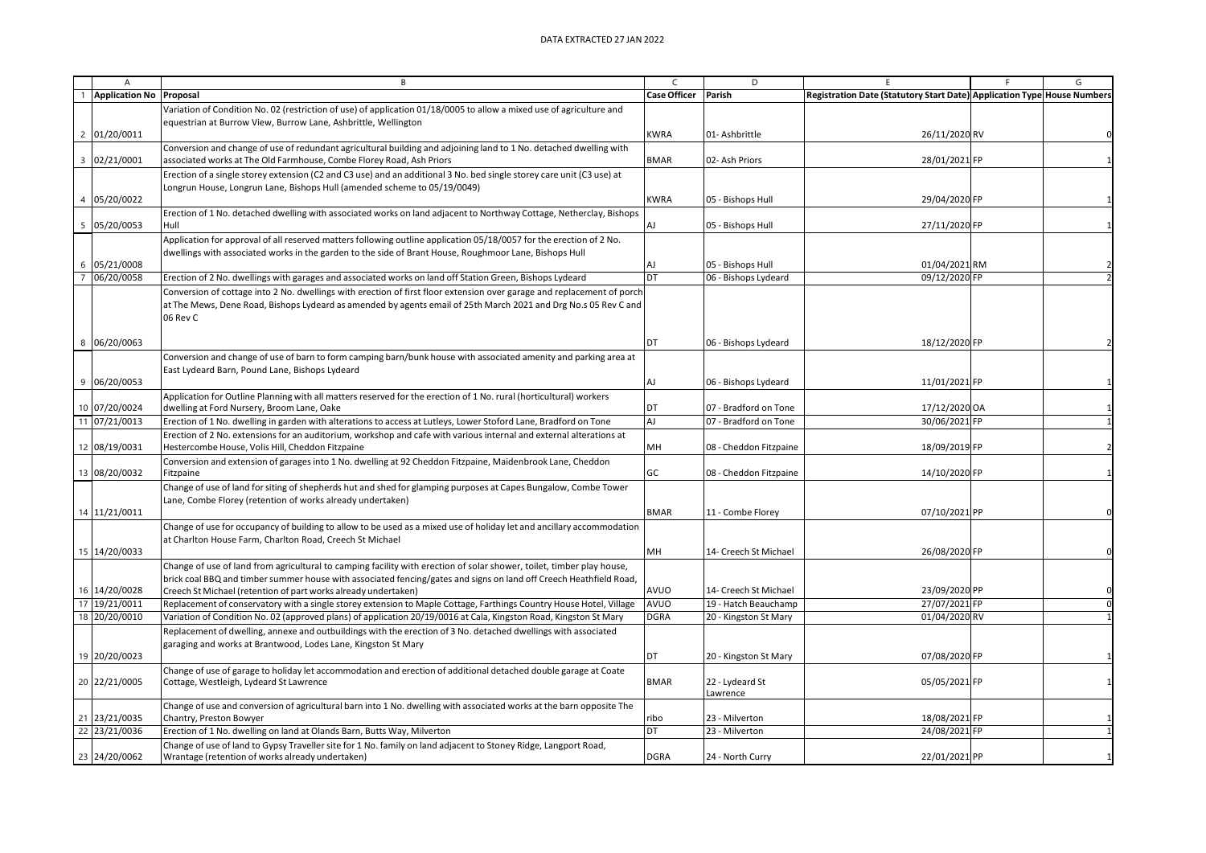|                         | $\mathsf{A}$            | В                                                                                                                                                                | $\mathsf{C}$        | D                      |                                                                         |  | G              |
|-------------------------|-------------------------|------------------------------------------------------------------------------------------------------------------------------------------------------------------|---------------------|------------------------|-------------------------------------------------------------------------|--|----------------|
|                         | Application No Proposal |                                                                                                                                                                  | <b>Case Officer</b> | Parish                 | Registration Date (Statutory Start Date) Application Type House Numbers |  |                |
|                         |                         | Variation of Condition No. 02 (restriction of use) of application 01/18/0005 to allow a mixed use of agriculture and                                             |                     |                        |                                                                         |  |                |
|                         |                         | equestrian at Burrow View, Burrow Lane, Ashbrittle, Wellington                                                                                                   |                     |                        |                                                                         |  |                |
| $\overline{c}$          | 01/20/0011              |                                                                                                                                                                  | <b>KWRA</b>         | 01-Ashbrittle          | 26/11/2020 RV                                                           |  |                |
|                         |                         | Conversion and change of use of redundant agricultural building and adjoining land to 1 No. detached dwelling with                                               |                     |                        |                                                                         |  |                |
| $\overline{\mathbf{3}}$ | 02/21/0001              | associated works at The Old Farmhouse, Combe Florey Road, Ash Priors                                                                                             | <b>BMAR</b>         | 02- Ash Priors         | 28/01/2021 FP                                                           |  |                |
|                         |                         | Erection of a single storey extension (C2 and C3 use) and an additional 3 No. bed single storey care unit (C3 use) at                                            |                     |                        |                                                                         |  |                |
|                         |                         | Longrun House, Longrun Lane, Bishops Hull (amended scheme to 05/19/0049)                                                                                         |                     |                        |                                                                         |  |                |
|                         | 05/20/0022              |                                                                                                                                                                  | <b>KWRA</b>         | 05 - Bishops Hull      | 29/04/2020 FP                                                           |  |                |
|                         |                         | Erection of 1 No. detached dwelling with associated works on land adjacent to Northway Cottage, Netherclay, Bishops                                              |                     |                        |                                                                         |  |                |
| 5                       | 05/20/0053              | Hull                                                                                                                                                             | AJ                  | 05 - Bishops Hull      | 27/11/2020 FP                                                           |  |                |
|                         |                         | Application for approval of all reserved matters following outline application 05/18/0057 for the erection of 2 No.                                              |                     |                        |                                                                         |  |                |
|                         |                         | dwellings with associated works in the garden to the side of Brant House, Roughmoor Lane, Bishops Hull                                                           |                     |                        |                                                                         |  |                |
| 6                       | 05/21/0008              |                                                                                                                                                                  | AJ                  | 05 - Bishops Hull      | 01/04/2021 RM                                                           |  |                |
|                         | 06/20/0058              | Erection of 2 No. dwellings with garages and associated works on land off Station Green, Bishops Lydeard                                                         | DT                  | 06 - Bishops Lydeard   | 09/12/2020 FP                                                           |  |                |
|                         |                         | Conversion of cottage into 2 No. dwellings with erection of first floor extension over garage and replacement of porch                                           |                     |                        |                                                                         |  |                |
|                         |                         | at The Mews, Dene Road, Bishops Lydeard as amended by agents email of 25th March 2021 and Drg No.s 05 Rev C and                                                  |                     |                        |                                                                         |  |                |
|                         |                         | 06 Rev C                                                                                                                                                         |                     |                        |                                                                         |  |                |
|                         |                         |                                                                                                                                                                  | DT                  |                        |                                                                         |  |                |
| 8                       | 06/20/0063              |                                                                                                                                                                  |                     | 06 - Bishops Lydeard   | 18/12/2020 FP                                                           |  |                |
|                         |                         | Conversion and change of use of barn to form camping barn/bunk house with associated amenity and parking area at                                                 |                     |                        |                                                                         |  |                |
|                         | 06/20/0053              | East Lydeard Barn, Pound Lane, Bishops Lydeard                                                                                                                   | AJ                  |                        |                                                                         |  |                |
| 9                       |                         |                                                                                                                                                                  |                     | 06 - Bishops Lydeard   | 11/01/2021 FP                                                           |  |                |
|                         | 10 07/20/0024           | Application for Outline Planning with all matters reserved for the erection of 1 No. rural (horticultural) workers<br>dwelling at Ford Nursery, Broom Lane, Oake | DT                  | 07 - Bradford on Tone  | 17/12/2020 OA                                                           |  |                |
|                         | 11 07/21/0013           | Erection of 1 No. dwelling in garden with alterations to access at Lutleys, Lower Stoford Lane, Bradford on Tone                                                 | AJ                  | 07 - Bradford on Tone  | 30/06/2021 FP                                                           |  |                |
|                         |                         | Erection of 2 No. extensions for an auditorium, workshop and cafe with various internal and external alterations at                                              |                     |                        |                                                                         |  |                |
|                         | 12 08/19/0031           | Hestercombe House, Volis Hill, Cheddon Fitzpaine                                                                                                                 | MH                  | 08 - Cheddon Fitzpaine | 18/09/2019 FP                                                           |  | $\overline{2}$ |
|                         |                         | Conversion and extension of garages into 1 No. dwelling at 92 Cheddon Fitzpaine, Maidenbrook Lane, Cheddon                                                       |                     |                        |                                                                         |  |                |
|                         | 13 08/20/0032           | Fitzpaine                                                                                                                                                        | GC                  | 08 - Cheddon Fitzpaine | 14/10/2020 FP                                                           |  |                |
|                         |                         | Change of use of land for siting of shepherds hut and shed for glamping purposes at Capes Bungalow, Combe Tower                                                  |                     |                        |                                                                         |  |                |
|                         |                         | Lane, Combe Florey (retention of works already undertaken)                                                                                                       |                     |                        |                                                                         |  |                |
| 14                      | 11/21/0011              |                                                                                                                                                                  | <b>BMAR</b>         | 11 - Combe Florey      | 07/10/2021 PP                                                           |  |                |
|                         |                         | Change of use for occupancy of building to allow to be used as a mixed use of holiday let and ancillary accommodation                                            |                     |                        |                                                                         |  |                |
|                         |                         | at Charlton House Farm, Charlton Road, Creech St Michael                                                                                                         |                     |                        |                                                                         |  |                |
|                         | 15 14/20/0033           |                                                                                                                                                                  | MН                  | 14- Creech St Michael  | 26/08/2020 FP                                                           |  |                |
|                         |                         | Change of use of land from agricultural to camping facility with erection of solar shower, toilet, timber play house,                                            |                     |                        |                                                                         |  |                |
|                         |                         | brick coal BBQ and timber summer house with associated fencing/gates and signs on land off Creech Heathfield Road,                                               |                     |                        |                                                                         |  |                |
|                         | 16 14/20/0028           | Creech St Michael (retention of part works already undertaken)                                                                                                   | AVUO                | 14- Creech St Michael  | 23/09/2020 PP                                                           |  |                |
| 17                      | 19/21/0011              | Replacement of conservatory with a single storey extension to Maple Cottage, Farthings Country House Hotel, Village                                              | AVUO                | 19 - Hatch Beauchamp   | 27/07/2021 FP                                                           |  | $\Omega$       |
| 18                      | 20/20/0010              | Variation of Condition No. 02 (approved plans) of application 20/19/0016 at Cala, Kingston Road, Kingston St Mary                                                | <b>DGRA</b>         | 20 - Kingston St Mary  | 01/04/2020 RV                                                           |  | $\mathbf{1}$   |
|                         |                         | Replacement of dwelling, annexe and outbuildings with the erection of 3 No. detached dwellings with associated                                                   |                     |                        |                                                                         |  |                |
|                         |                         | garaging and works at Brantwood, Lodes Lane, Kingston St Mary                                                                                                    |                     |                        |                                                                         |  |                |
|                         | 19 20/20/0023           |                                                                                                                                                                  | DT                  | 20 - Kingston St Mary  | 07/08/2020 FP                                                           |  |                |
|                         |                         | Change of use of garage to holiday let accommodation and erection of additional detached double garage at Coate                                                  |                     |                        |                                                                         |  |                |
|                         | 20 22/21/0005           | Cottage, Westleigh, Lydeard St Lawrence                                                                                                                          | <b>BMAR</b>         | 22 - Lydeard St        | 05/05/2021 FP                                                           |  |                |
|                         |                         |                                                                                                                                                                  |                     | Lawrence               |                                                                         |  |                |
|                         | 21 23/21/0035           | Change of use and conversion of agricultural barn into 1 No. dwelling with associated works at the barn opposite The<br>Chantry, Preston Bowyer                  | ribo                | 23 - Milverton         | 18/08/2021 FP                                                           |  |                |
|                         | 22 23/21/0036           | Erection of 1 No. dwelling on land at Olands Barn, Butts Way, Milverton                                                                                          | DT                  | 23 - Milverton         | 24/08/2021 FP                                                           |  |                |
|                         |                         | Change of use of land to Gypsy Traveller site for 1 No. family on land adjacent to Stoney Ridge, Langport Road,                                                  |                     |                        |                                                                         |  |                |
|                         | 23 24/20/0062           | Wrantage (retention of works already undertaken)                                                                                                                 | <b>DGRA</b>         | 24 - North Curry       | 22/01/2021 PP                                                           |  |                |
|                         |                         |                                                                                                                                                                  |                     |                        |                                                                         |  |                |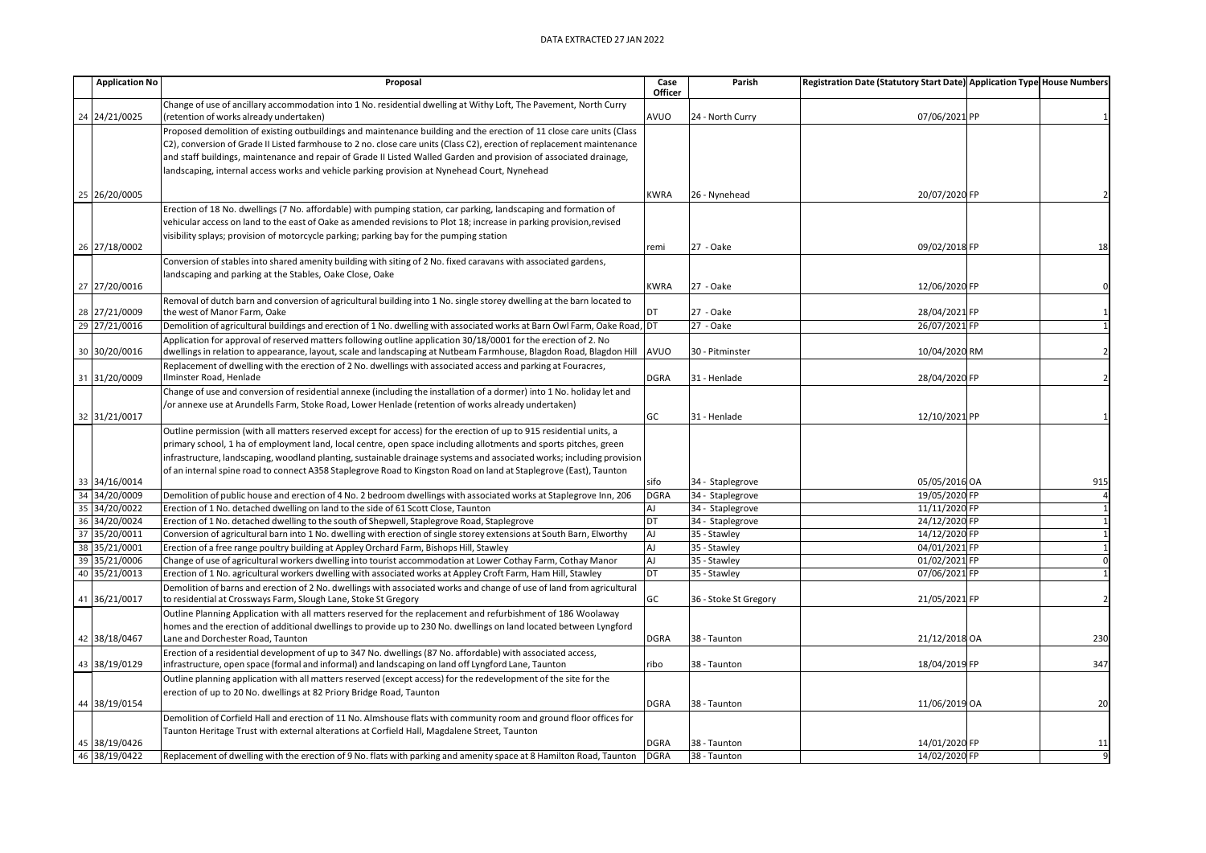## DATA EXTRACTED 27 JAN 2022

|    | <b>Application No</b> | Proposal                                                                                                                                                                                                                                       | Case        | Parish                | Registration Date (Statutory Start Date) Application Type House Numbers |              |
|----|-----------------------|------------------------------------------------------------------------------------------------------------------------------------------------------------------------------------------------------------------------------------------------|-------------|-----------------------|-------------------------------------------------------------------------|--------------|
|    |                       |                                                                                                                                                                                                                                                | Officer     |                       |                                                                         |              |
|    | 24 24/21/0025         | Change of use of ancillary accommodation into 1 No. residential dwelling at Withy Loft, The Pavement, North Curry<br>(retention of works already undertaken)                                                                                   | AVUO        | 24 - North Curry      | 07/06/2021 PP                                                           |              |
|    |                       |                                                                                                                                                                                                                                                |             |                       |                                                                         |              |
|    |                       | Proposed demolition of existing outbuildings and maintenance building and the erection of 11 close care units (Class<br>C2), conversion of Grade II Listed farmhouse to 2 no. close care units (Class C2), erection of replacement maintenance |             |                       |                                                                         |              |
|    |                       | and staff buildings, maintenance and repair of Grade II Listed Walled Garden and provision of associated drainage,                                                                                                                             |             |                       |                                                                         |              |
|    |                       | landscaping, internal access works and vehicle parking provision at Nynehead Court, Nynehead                                                                                                                                                   |             |                       |                                                                         |              |
|    |                       |                                                                                                                                                                                                                                                |             |                       |                                                                         |              |
|    | 25 26/20/0005         |                                                                                                                                                                                                                                                | <b>KWRA</b> | 26 - Nynehead         | 20/07/2020 FP                                                           |              |
|    |                       | Erection of 18 No. dwellings (7 No. affordable) with pumping station, car parking, landscaping and formation of                                                                                                                                |             |                       |                                                                         |              |
|    |                       | vehicular access on land to the east of Oake as amended revisions to Plot 18; increase in parking provision, revised                                                                                                                           |             |                       |                                                                         |              |
|    |                       | visibility splays; provision of motorcycle parking; parking bay for the pumping station                                                                                                                                                        |             |                       |                                                                         |              |
|    | 26 27/18/0002         |                                                                                                                                                                                                                                                | remi        | 27 - Oake             | 09/02/2018 FP                                                           | 18           |
|    |                       | Conversion of stables into shared amenity building with siting of 2 No. fixed caravans with associated gardens,                                                                                                                                |             |                       |                                                                         |              |
|    |                       | landscaping and parking at the Stables, Oake Close, Oake                                                                                                                                                                                       |             |                       |                                                                         |              |
|    | 27 27/20/0016         |                                                                                                                                                                                                                                                | <b>KWRA</b> | 27 - Oake             | 12/06/2020 FP                                                           |              |
|    |                       | Removal of dutch barn and conversion of agricultural building into 1 No. single storey dwelling at the barn located to                                                                                                                         |             |                       |                                                                         |              |
|    | 28 27/21/0009         | the west of Manor Farm, Oake                                                                                                                                                                                                                   | DT          | 27 - Oake             | 28/04/2021 FP                                                           |              |
|    | 29 27/21/0016         | Demolition of agricultural buildings and erection of 1 No. dwelling with associated works at Barn Owl Farm, Oake Road, DT                                                                                                                      |             | 27 - Oake             | 26/07/2021 FP                                                           |              |
|    |                       | Application for approval of reserved matters following outline application 30/18/0001 for the erection of 2. No                                                                                                                                |             |                       |                                                                         |              |
|    | 30 30/20/0016         | dwellings in relation to appearance, layout, scale and landscaping at Nutbeam Farmhouse, Blagdon Road, Blagdon Hill                                                                                                                            | AVUO        | 30 - Pitminster       | 10/04/2020 RM                                                           |              |
|    |                       | Replacement of dwelling with the erection of 2 No. dwellings with associated access and parking at Fouracres,                                                                                                                                  |             |                       |                                                                         |              |
|    | 31 31/20/0009         | Ilminster Road, Henlade                                                                                                                                                                                                                        | <b>DGRA</b> | 31 - Henlade          | 28/04/2020 FP                                                           |              |
|    |                       | Change of use and conversion of residential annexe (including the installation of a dormer) into 1 No. holiday let and                                                                                                                         |             |                       |                                                                         |              |
|    |                       | (or annexe use at Arundells Farm, Stoke Road, Lower Henlade (retention of works already undertaken)                                                                                                                                            |             |                       |                                                                         |              |
|    | 32 31/21/0017         |                                                                                                                                                                                                                                                | GC          | 31 - Henlade          | 12/10/2021 PP                                                           |              |
|    |                       | Outline permission (with all matters reserved except for access) for the erection of up to 915 residential units, a                                                                                                                            |             |                       |                                                                         |              |
|    |                       | primary school, 1 ha of employment land, local centre, open space including allotments and sports pitches, green                                                                                                                               |             |                       |                                                                         |              |
|    |                       | infrastructure, landscaping, woodland planting, sustainable drainage systems and associated works; including provision                                                                                                                         |             |                       |                                                                         |              |
|    | 33 34/16/0014         | of an internal spine road to connect A358 Staplegrove Road to Kingston Road on land at Staplegrove (East), Taunton                                                                                                                             | sifo        | 34 - Staplegrove      | 05/05/2016 OA                                                           | 915          |
| 34 | 34/20/0009            | Demolition of public house and erection of 4 No. 2 bedroom dwellings with associated works at Staplegrove Inn, 206                                                                                                                             | <b>DGRA</b> | 34 - Staplegrove      | 19/05/2020 FP                                                           |              |
|    | 35 34/20/0022         | Erection of 1 No. detached dwelling on land to the side of 61 Scott Close, Taunton                                                                                                                                                             | AJ          | 34 - Staplegrove      | 11/11/2020 FP                                                           |              |
|    | 36 34/20/0024         | Erection of 1 No. detached dwelling to the south of Shepwell, Staplegrove Road, Staplegrove                                                                                                                                                    | <b>DT</b>   | 34 - Staplegrove      | 24/12/2020 FP                                                           |              |
|    | 37 35/20/0011         | Conversion of agricultural barn into 1 No. dwelling with erection of single storey extensions at South Barn, Elworthy                                                                                                                          | <b>AJ</b>   | 35 - Stawley          | 14/12/2020 FP                                                           |              |
|    | 38 35/21/0001         | Erection of a free range poultry building at Appley Orchard Farm, Bishops Hill, Stawley                                                                                                                                                        | AJ          | 35 - Stawley          | 04/01/2021 FP                                                           |              |
|    | 39 35/21/0006         | Change of use of agricultural workers dwelling into tourist accommodation at Lower Cothay Farm, Cothay Manor                                                                                                                                   | AJ          | 35 - Stawley          | 01/02/2021 FP                                                           |              |
|    | 40 35/21/0013         | Erection of 1 No. agricultural workers dwelling with associated works at Appley Croft Farm, Ham Hill, Stawley                                                                                                                                  | DT          | 35 - Stawley          | 07/06/2021 FP                                                           |              |
|    |                       | Demolition of barns and erection of 2 No. dwellings with associated works and change of use of land from agricultural                                                                                                                          |             |                       |                                                                         |              |
|    | 41 36/21/0017         | to residential at Crossways Farm, Slough Lane, Stoke St Gregory                                                                                                                                                                                | GC          | 36 - Stoke St Gregory | 21/05/2021 FP                                                           |              |
|    |                       | Outline Planning Application with all matters reserved for the replacement and refurbishment of 186 Woolaway                                                                                                                                   |             |                       |                                                                         |              |
|    |                       | homes and the erection of additional dwellings to provide up to 230 No. dwellings on land located between Lyngford                                                                                                                             |             |                       |                                                                         |              |
|    | 42 38/18/0467         | Lane and Dorchester Road, Taunton                                                                                                                                                                                                              | <b>DGRA</b> | 38 - Taunton          | 21/12/2018 OA                                                           | 230          |
|    |                       | Erection of a residential development of up to 347 No. dwellings (87 No. affordable) with associated access,                                                                                                                                   |             |                       |                                                                         |              |
|    | 43 38/19/0129         | infrastructure, open space (formal and informal) and landscaping on land off Lyngford Lane, Taunton                                                                                                                                            | ribo        | 38 - Taunton          | 18/04/2019 FP                                                           | 347          |
|    |                       | Outline planning application with all matters reserved (except access) for the redevelopment of the site for the                                                                                                                               |             |                       |                                                                         |              |
|    |                       | erection of up to 20 No. dwellings at 82 Priory Bridge Road, Taunton                                                                                                                                                                           |             |                       |                                                                         |              |
|    | 44 38/19/0154         |                                                                                                                                                                                                                                                | <b>DGRA</b> | 38 - Taunton          | 11/06/2019 OA                                                           | 20           |
|    |                       | Demolition of Corfield Hall and erection of 11 No. Almshouse flats with community room and ground floor offices for                                                                                                                            |             |                       |                                                                         |              |
|    |                       | Taunton Heritage Trust with external alterations at Corfield Hall, Magdalene Street, Taunton                                                                                                                                                   |             |                       |                                                                         |              |
|    | 45 38/19/0426         |                                                                                                                                                                                                                                                | <b>DGRA</b> | 38 - Taunton          | 14/01/2020 FP                                                           | 11           |
|    | 46 38/19/0422         | Replacement of dwelling with the erection of 9 No. flats with parking and amenity space at 8 Hamilton Road, Taunton                                                                                                                            | <b>DGRA</b> | 38 - Taunton          | 14/02/2020 FP                                                           | $\mathbf{q}$ |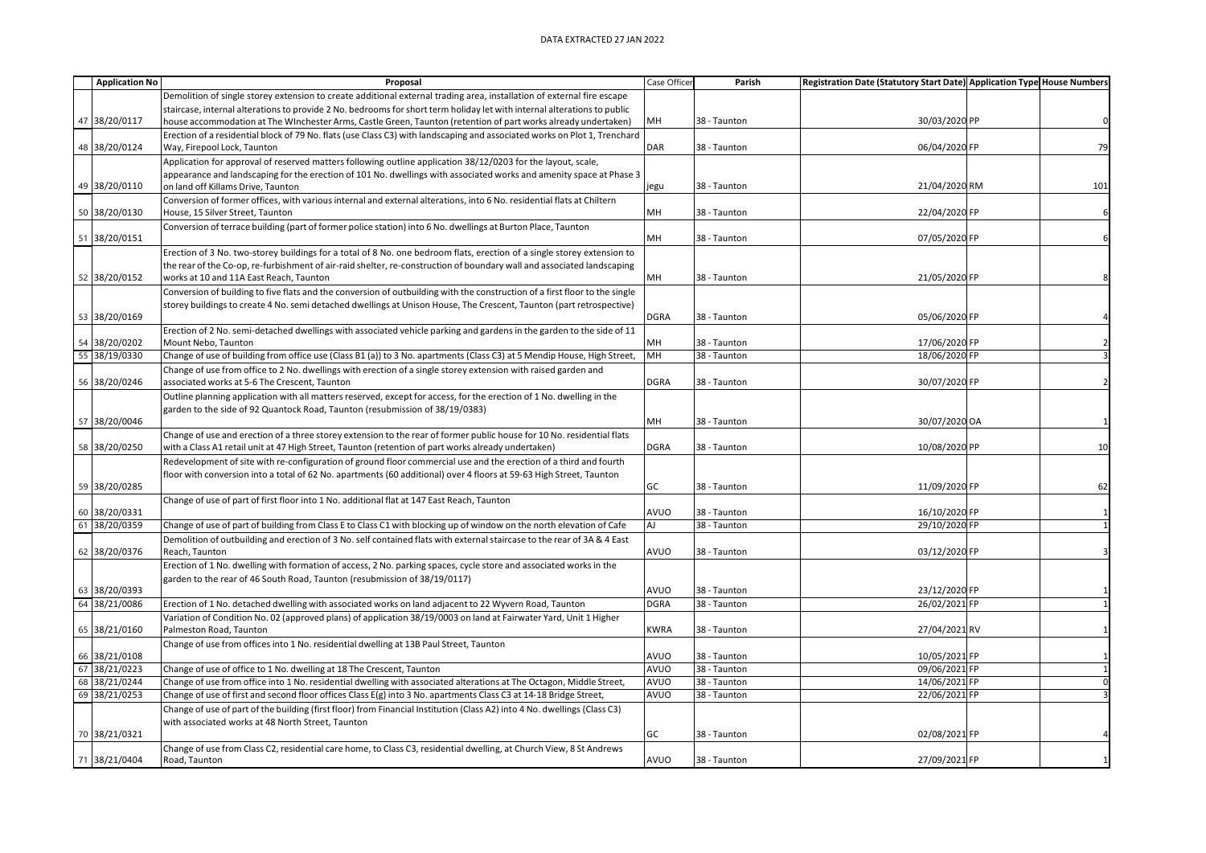## DATA EXTRACTED 27 JAN 2022

| <b>Application No</b> | Proposal                                                                                                                                                                                             | Case Officer | Parish       | Registration Date (Statutory Start Date) Application Type House Numbers |     |
|-----------------------|------------------------------------------------------------------------------------------------------------------------------------------------------------------------------------------------------|--------------|--------------|-------------------------------------------------------------------------|-----|
|                       | Demolition of single storey extension to create additional external trading area, installation of external fire escape                                                                               |              |              |                                                                         |     |
|                       | staircase, internal alterations to provide 2 No. bedrooms for short term holiday let with internal alterations to public                                                                             |              |              |                                                                         |     |
| 47 38/20/0117         | house accommodation at The WInchester Arms, Castle Green, Taunton (retention of part works already undertaken)                                                                                       | MH           | 38 - Taunton | 30/03/2020 PP                                                           |     |
|                       | Erection of a residential block of 79 No. flats (use Class C3) with landscaping and associated works on Plot 1, Trenchard                                                                            |              |              |                                                                         |     |
| 48 38/20/0124         | Way, Firepool Lock, Taunton                                                                                                                                                                          | DAR          | 38 - Taunton | 06/04/2020 FP                                                           | 79  |
|                       | Application for approval of reserved matters following outline application 38/12/0203 for the layout, scale,                                                                                         |              |              |                                                                         |     |
| 49 38/20/0110         | appearance and landscaping for the erection of 101 No. dwellings with associated works and amenity space at Phase 3                                                                                  |              | 38 - Taunton | 21/04/2020 RM                                                           | 101 |
|                       | on land off Killams Drive, Taunton<br>Conversion of former offices, with various internal and external alterations, into 6 No. residential flats at Chiltern                                         | jegu         |              |                                                                         |     |
| 50 38/20/0130         | House, 15 Silver Street, Taunton                                                                                                                                                                     | MH           | 38 - Taunton | 22/04/2020 FP                                                           |     |
|                       | Conversion of terrace building (part of former police station) into 6 No. dwellings at Burton Place, Taunton                                                                                         |              |              |                                                                         |     |
| 51 38/20/0151         |                                                                                                                                                                                                      | MH           | 38 - Taunton | 07/05/2020 FP                                                           |     |
|                       | Erection of 3 No. two-storey buildings for a total of 8 No. one bedroom flats, erection of a single storey extension to                                                                              |              |              |                                                                         |     |
|                       | the rear of the Co-op, re-furbishment of air-raid shelter, re-construction of boundary wall and associated landscaping                                                                               |              |              |                                                                         |     |
| 52 38/20/0152         | works at 10 and 11A East Reach, Taunton                                                                                                                                                              | MH           | 38 - Taunton | 21/05/2020 FP                                                           |     |
|                       | Conversion of building to five flats and the conversion of outbuilding with the construction of a first floor to the single                                                                          |              |              |                                                                         |     |
|                       | storey buildings to create 4 No. semi detached dwellings at Unison House, The Crescent, Taunton (part retrospective)                                                                                 |              |              |                                                                         |     |
| 53 38/20/0169         |                                                                                                                                                                                                      | <b>DGRA</b>  | 38 - Taunton | 05/06/2020 FP                                                           |     |
|                       | Erection of 2 No. semi-detached dwellings with associated vehicle parking and gardens in the garden to the side of 11                                                                                |              |              |                                                                         |     |
| 54 38/20/0202         | Mount Nebo, Taunton                                                                                                                                                                                  | MH           | 38 - Taunton | 17/06/2020 FP                                                           |     |
| 55 38/19/0330         | Change of use of building from office use (Class B1 (a)) to 3 No. apartments (Class C3) at 5 Mendip House, High Street,                                                                              | MH           | 38 - Taunton | 18/06/2020 FP                                                           |     |
|                       | Change of use from office to 2 No. dwellings with erection of a single storey extension with raised garden and                                                                                       | <b>DGRA</b>  | 38 - Taunton |                                                                         |     |
| 56 38/20/0246         | associated works at 5-6 The Crescent, Taunton                                                                                                                                                        |              |              | 30/07/2020 FP                                                           |     |
|                       | Outline planning application with all matters reserved, except for access, for the erection of 1 No. dwelling in the<br>garden to the side of 92 Quantock Road, Taunton (resubmission of 38/19/0383) |              |              |                                                                         |     |
| 57 38/20/0046         |                                                                                                                                                                                                      | <b>MH</b>    | 38 - Taunton | 30/07/2020 OA                                                           |     |
|                       | Change of use and erection of a three storey extension to the rear of former public house for 10 No. residential flats                                                                               |              |              |                                                                         |     |
| 58 38/20/0250         | with a Class A1 retail unit at 47 High Street, Taunton (retention of part works already undertaken)                                                                                                  | <b>DGRA</b>  | 38 - Taunton | 10/08/2020 PP                                                           | 10  |
|                       | Redevelopment of site with re-configuration of ground floor commercial use and the erection of a third and fourth                                                                                    |              |              |                                                                         |     |
|                       | floor with conversion into a total of 62 No. apartments (60 additional) over 4 floors at 59-63 High Street, Taunton                                                                                  |              |              |                                                                         |     |
| 59 38/20/0285         |                                                                                                                                                                                                      | GC           | 38 - Taunton | 11/09/2020 FP                                                           | 62  |
|                       | Change of use of part of first floor into 1 No. additional flat at 147 East Reach, Taunton                                                                                                           |              |              |                                                                         |     |
| 60 38/20/0331         |                                                                                                                                                                                                      | AVUO         | 38 - Taunton | 16/10/2020 FP                                                           |     |
| 61 38/20/0359         | Change of use of part of building from Class E to Class C1 with blocking up of window on the north elevation of Cafe                                                                                 | <b>AJ</b>    | 38 - Taunton | 29/10/2020 FP                                                           |     |
|                       | Demolition of outbuilding and erection of 3 No. self contained flats with external staircase to the rear of 3A & 4 East                                                                              |              |              |                                                                         |     |
| 62 38/20/0376         | Reach, Taunton                                                                                                                                                                                       | AVUO         | 38 - Taunton | 03/12/2020 FP                                                           |     |
|                       | Erection of 1 No. dwelling with formation of access, 2 No. parking spaces, cycle store and associated works in the                                                                                   |              |              |                                                                         |     |
| 63 38/20/0393         | garden to the rear of 46 South Road, Taunton (resubmission of 38/19/0117)                                                                                                                            | AVUO         | 38 - Taunton | 23/12/2020 FP                                                           |     |
| 64 38/21/0086         | Erection of 1 No. detached dwelling with associated works on land adjacent to 22 Wyvern Road, Taunton                                                                                                | <b>DGRA</b>  | 38 - Taunton | 26/02/2021 FP                                                           |     |
|                       | Variation of Condition No. 02 (approved plans) of application 38/19/0003 on land at Fairwater Yard, Unit 1 Higher                                                                                    |              |              |                                                                         |     |
| 65 38/21/0160         | Palmeston Road, Taunton                                                                                                                                                                              | <b>KWRA</b>  | 38 - Taunton | 27/04/2021 RV                                                           |     |
|                       | Change of use from offices into 1 No. residential dwelling at 13B Paul Street, Taunton                                                                                                               |              |              |                                                                         |     |
| 66 38/21/0108         |                                                                                                                                                                                                      | AVUO         | 38 - Taunton | 10/05/2021 FP                                                           |     |
| 67 38/21/0223         | Change of use of office to 1 No. dwelling at 18 The Crescent, Taunton                                                                                                                                | AVUO         | 38 - Taunton | 09/06/2021 FP                                                           |     |
| 68 38/21/0244         | Change of use from office into 1 No. residential dwelling with associated alterations at The Octagon, Middle Street,                                                                                 | AVUO         | 38 - Taunton | 14/06/2021 FP                                                           |     |
| 69 38/21/0253         | Change of use of first and second floor offices Class E(g) into 3 No. apartments Class C3 at 14-18 Bridge Street,                                                                                    | AVUO         | 38 - Taunton | 22/06/2021 FP                                                           |     |
|                       | Change of use of part of the building (first floor) from Financial Institution (Class A2) into 4 No. dwellings (Class C3)                                                                            |              |              |                                                                         |     |
|                       | with associated works at 48 North Street, Taunton                                                                                                                                                    |              |              |                                                                         |     |
| 70 38/21/0321         |                                                                                                                                                                                                      | GC           | 38 - Taunton | 02/08/2021 FP                                                           |     |
| 71 38/21/0404         | Change of use from Class C2, residential care home, to Class C3, residential dwelling, at Church View, 8 St Andrews<br>Road, Taunton                                                                 | AVUO         | 38 - Taunton | 27/09/2021 FP                                                           |     |
|                       |                                                                                                                                                                                                      |              |              |                                                                         |     |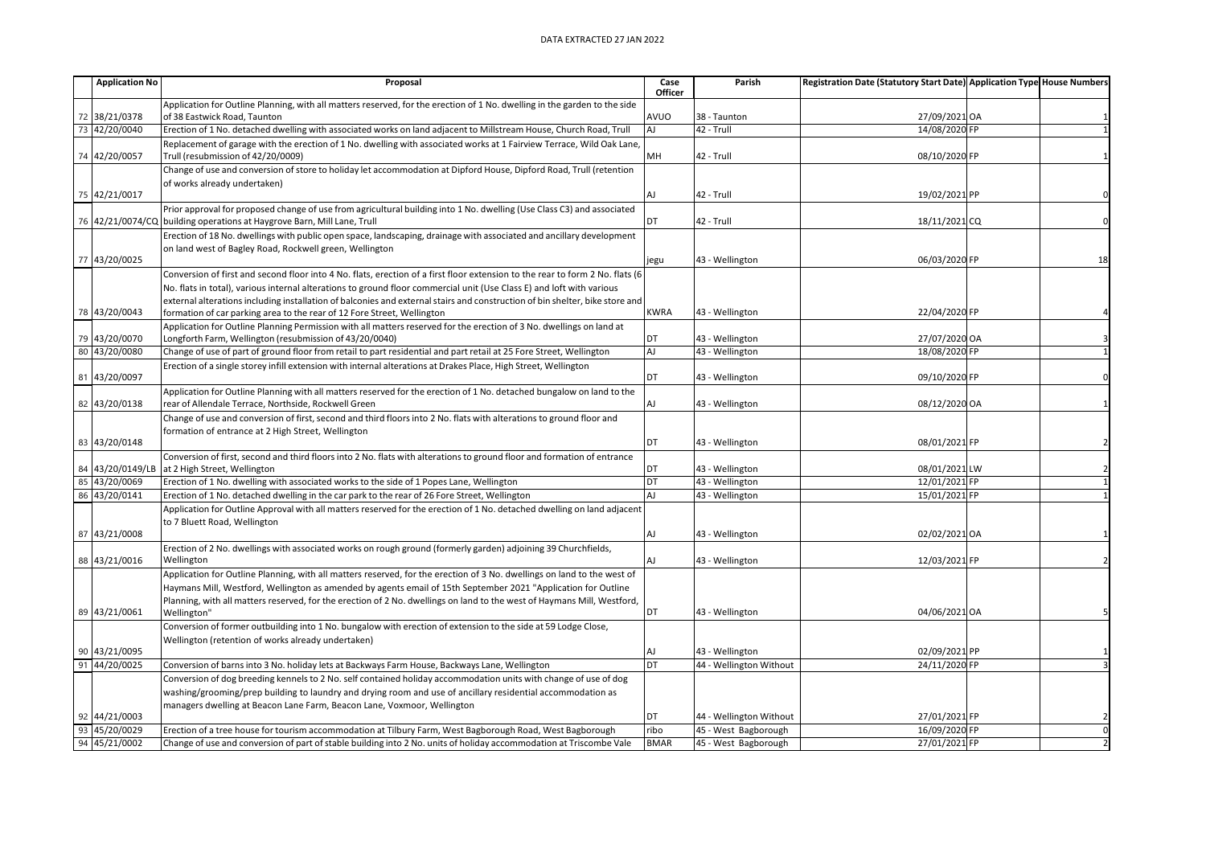|    | <b>Application No</b> | Proposal                                                                                                                                                                        | Case        | Parish                  | Registration Date (Statutory Start Date) Application Type House Numbers |          |
|----|-----------------------|---------------------------------------------------------------------------------------------------------------------------------------------------------------------------------|-------------|-------------------------|-------------------------------------------------------------------------|----------|
|    |                       |                                                                                                                                                                                 | Officer     |                         |                                                                         |          |
|    |                       | Application for Outline Planning, with all matters reserved, for the erection of 1 No. dwelling in the garden to the side                                                       |             |                         |                                                                         |          |
|    | 72 38/21/0378         | of 38 Eastwick Road, Taunton                                                                                                                                                    | AVUO        | 38 - Taunton            | 27/09/2021 OA                                                           |          |
| 73 | 42/20/0040            | Erection of 1 No. detached dwelling with associated works on land adjacent to Millstream House, Church Road, Trull                                                              | AJ          | 42 - Trull              | 14/08/2020 FP                                                           |          |
|    | 74 42/20/0057         | Replacement of garage with the erection of 1 No. dwelling with associated works at 1 Fairview Terrace, Wild Oak Lane,<br>Trull (resubmission of 42/20/0009)                     | MH          | 42 - Trull              | 08/10/2020 FP                                                           |          |
|    |                       | Change of use and conversion of store to holiday let accommodation at Dipford House, Dipford Road, Trull (retention                                                             |             |                         |                                                                         |          |
|    |                       | of works already undertaken)                                                                                                                                                    |             |                         |                                                                         |          |
|    | 75 42/21/0017         |                                                                                                                                                                                 | AJ          | 42 - Trull              | 19/02/2021 PP                                                           |          |
|    |                       | Prior approval for proposed change of use from agricultural building into 1 No. dwelling (Use Class C3) and associated                                                          |             |                         |                                                                         |          |
|    |                       | 76 42/21/0074/CQ building operations at Haygrove Barn, Mill Lane, Trull                                                                                                         | DT          | 42 - Trull              | 18/11/2021 CQ                                                           | $\Omega$ |
|    |                       | Erection of 18 No. dwellings with public open space, landscaping, drainage with associated and ancillary development                                                            |             |                         |                                                                         |          |
|    |                       | on land west of Bagley Road, Rockwell green, Wellington                                                                                                                         |             |                         |                                                                         |          |
|    | 77 43/20/0025         |                                                                                                                                                                                 | jegu        | 43 - Wellington         | 06/03/2020 FP                                                           | 18       |
|    |                       | Conversion of first and second floor into 4 No. flats, erection of a first floor extension to the rear to form 2 No. flats (6                                                   |             |                         |                                                                         |          |
|    |                       | No. flats in total), various internal alterations to ground floor commercial unit (Use Class E) and loft with various                                                           |             |                         |                                                                         |          |
|    |                       | external alterations including installation of balconies and external stairs and construction of bin shelter, bike store and                                                    |             |                         |                                                                         |          |
| 78 | 43/20/0043            | formation of car parking area to the rear of 12 Fore Street, Wellington                                                                                                         | <b>KWRA</b> | 43 - Wellington         | 22/04/2020 FP                                                           |          |
|    |                       |                                                                                                                                                                                 |             |                         |                                                                         |          |
|    | 79 43/20/0070         | Application for Outline Planning Permission with all matters reserved for the erection of 3 No. dwellings on land at<br>Longforth Farm, Wellington (resubmission of 43/20/0040) | DT          | 43 - Wellington         | 27/07/2020 OA                                                           |          |
| 80 | 43/20/0080            | Change of use of part of ground floor from retail to part residential and part retail at 25 Fore Street, Wellington                                                             | <b>AJ</b>   | 43 - Wellington         | 18/08/2020 FP                                                           |          |
|    |                       |                                                                                                                                                                                 |             |                         |                                                                         |          |
|    |                       | Erection of a single storey infill extension with internal alterations at Drakes Place, High Street, Wellington                                                                 |             |                         |                                                                         |          |
|    | 81 43/20/0097         |                                                                                                                                                                                 | DT          | 43 - Wellington         | 09/10/2020 FP                                                           |          |
|    |                       | Application for Outline Planning with all matters reserved for the erection of 1 No. detached bungalow on land to the                                                           |             |                         |                                                                         |          |
|    | 82 43/20/0138         | rear of Allendale Terrace, Northside, Rockwell Green                                                                                                                            | <b>AJ</b>   | 43 - Wellington         | 08/12/2020 OA                                                           |          |
|    |                       | Change of use and conversion of first, second and third floors into 2 No. flats with alterations to ground floor and                                                            |             |                         |                                                                         |          |
|    |                       | formation of entrance at 2 High Street, Wellington                                                                                                                              |             |                         |                                                                         |          |
| 83 | 43/20/0148            |                                                                                                                                                                                 | <b>DT</b>   | 43 - Wellington         | 08/01/2021 FP                                                           |          |
|    |                       | Conversion of first, second and third floors into 2 No. flats with alterations to ground floor and formation of entrance                                                        |             |                         |                                                                         |          |
| 84 | 43/20/0149/LB         | at 2 High Street, Wellington                                                                                                                                                    | DT          | 43 - Wellington         | 08/01/2021 LW                                                           |          |
| 85 | 43/20/0069            | Erection of 1 No. dwelling with associated works to the side of 1 Popes Lane, Wellington                                                                                        | DT          | 43 - Wellington         | 12/01/2021 FP                                                           |          |
| 86 | 43/20/0141            | Erection of 1 No. detached dwelling in the car park to the rear of 26 Fore Street, Wellington                                                                                   | <b>AJ</b>   | 43 - Wellington         | 15/01/2021 FP                                                           |          |
|    |                       | Application for Outline Approval with all matters reserved for the erection of 1 No. detached dwelling on land adjacent                                                         |             |                         |                                                                         |          |
|    |                       | to 7 Bluett Road, Wellington                                                                                                                                                    |             |                         |                                                                         |          |
|    | 87 43/21/0008         |                                                                                                                                                                                 | <b>AJ</b>   | 43 - Wellington         | 02/02/2021 OA                                                           |          |
|    |                       | Erection of 2 No. dwellings with associated works on rough ground (formerly garden) adjoining 39 Churchfields,                                                                  |             |                         |                                                                         |          |
|    | 88 43/21/0016         | Wellington                                                                                                                                                                      | AJ          | 43 - Wellington         | 12/03/2021 FP                                                           |          |
|    |                       | Application for Outline Planning, with all matters reserved, for the erection of 3 No. dwellings on land to the west of                                                         |             |                         |                                                                         |          |
|    |                       | Haymans Mill, Westford, Wellington as amended by agents email of 15th September 2021 "Application for Outline                                                                   |             |                         |                                                                         |          |
|    |                       | Planning, with all matters reserved, for the erection of 2 No. dwellings on land to the west of Haymans Mill, Westford,                                                         |             |                         |                                                                         |          |
|    | 89 43/21/0061         | Wellington"                                                                                                                                                                     | DT          | 43 - Wellington         | 04/06/2021 OA                                                           |          |
|    |                       | Conversion of former outbuilding into 1 No. bungalow with erection of extension to the side at 59 Lodge Close,                                                                  |             |                         |                                                                         |          |
|    |                       | Wellington (retention of works already undertaken)                                                                                                                              |             |                         |                                                                         |          |
|    | 90 43/21/0095         |                                                                                                                                                                                 | <b>AJ</b>   | 43 - Wellington         | 02/09/2021 PP                                                           |          |
| 91 | 44/20/0025            | Conversion of barns into 3 No. holiday lets at Backways Farm House, Backways Lane, Wellington                                                                                   | DT          | 44 - Wellington Without | 24/11/2020 FP                                                           |          |
|    |                       | Conversion of dog breeding kennels to 2 No. self contained holiday accommodation units with change of use of dog                                                                |             |                         |                                                                         |          |
|    |                       | washing/grooming/prep building to laundry and drying room and use of ancillary residential accommodation as                                                                     |             |                         |                                                                         |          |
|    |                       | managers dwelling at Beacon Lane Farm, Beacon Lane, Voxmoor, Wellington                                                                                                         |             |                         |                                                                         |          |
| 92 | 44/21/0003            |                                                                                                                                                                                 | DT          | 44 - Wellington Without | 27/01/2021 FP                                                           |          |
| 93 | 45/20/0029            | Erection of a tree house for tourism accommodation at Tilbury Farm, West Bagborough Road, West Bagborough                                                                       | ribo        | 45 - West Bagborough    | 16/09/2020 FP                                                           |          |
|    | 94 45/21/0002         | Change of use and conversion of part of stable building into 2 No. units of holiday accommodation at Triscombe Vale                                                             | <b>BMAR</b> | 45 - West Bagborough    | 27/01/2021 FP                                                           |          |